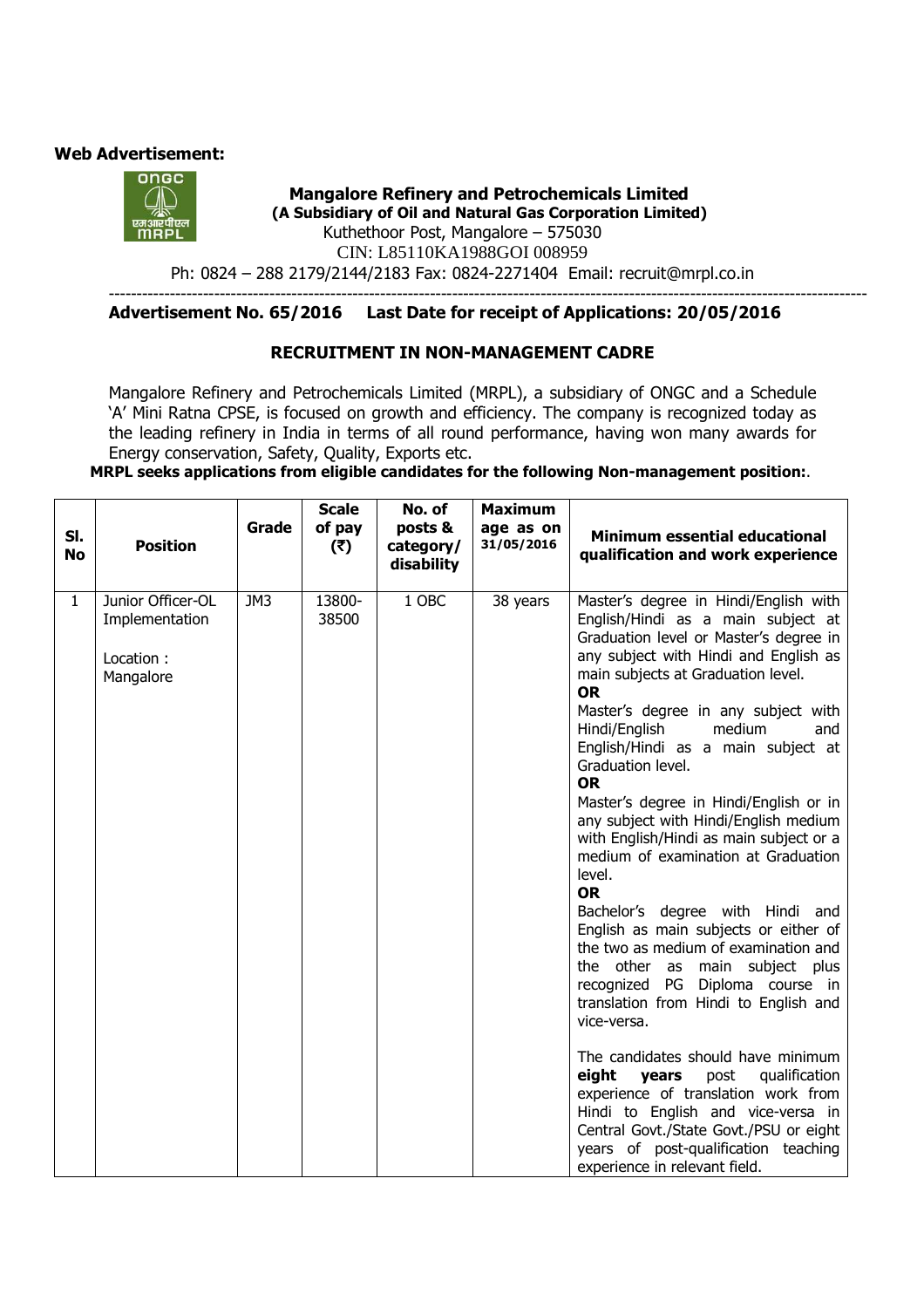### **Web Advertisement:**



### **Mangalore Refinery and Petrochemicals Limited (A Subsidiary of Oil and Natural Gas Corporation Limited)**  Kuthethoor Post, Mangalore – 575030 CIN: L85110KA1988GOI 008959 Ph: 0824 – 288 2179/2144/2183 Fax: 0824-2271404 Email: recruit@mrpl.co.in

**-----------------------------------------------------------------------------------------------------------------------------------------** 

### **Advertisement No. 65/2016 Last Date for receipt of Applications: 20/05/2016**

### **RECRUITMENT IN NON-MANAGEMENT CADRE**

Mangalore Refinery and Petrochemicals Limited (MRPL), a subsidiary of ONGC and a Schedule 'A' Mini Ratna CPSE, is focused on growth and efficiency. The company is recognized today as the leading refinery in India in terms of all round performance, having won many awards for Energy conservation, Safety, Quality, Exports etc.

 **MRPL seeks applications from eligible candidates for the following Non-management position:**.

| SI.          | <b>Position</b>                                               | Grade | <b>Scale</b><br>of pay<br>(5) | No. of<br>posts &<br>category/ | <b>Maximum</b><br>age as on<br>31/05/2016 | <b>Minimum essential educational</b>                                                                                                                                                                                                                                                                                                                                                                                                                                                                                                                                                                                                                                                                                                                                                                                                                                                                                                                                                                                                                                                              |
|--------------|---------------------------------------------------------------|-------|-------------------------------|--------------------------------|-------------------------------------------|---------------------------------------------------------------------------------------------------------------------------------------------------------------------------------------------------------------------------------------------------------------------------------------------------------------------------------------------------------------------------------------------------------------------------------------------------------------------------------------------------------------------------------------------------------------------------------------------------------------------------------------------------------------------------------------------------------------------------------------------------------------------------------------------------------------------------------------------------------------------------------------------------------------------------------------------------------------------------------------------------------------------------------------------------------------------------------------------------|
| <b>No</b>    |                                                               |       |                               | disability                     |                                           | qualification and work experience                                                                                                                                                                                                                                                                                                                                                                                                                                                                                                                                                                                                                                                                                                                                                                                                                                                                                                                                                                                                                                                                 |
| $\mathbf{1}$ | Junior Officer-OL<br>Implementation<br>Location:<br>Mangalore | JM3   | 13800-<br>38500               | 1 OBC                          | 38 years                                  | Master's degree in Hindi/English with<br>English/Hindi as a main subject at<br>Graduation level or Master's degree in<br>any subject with Hindi and English as<br>main subjects at Graduation level.<br><b>OR</b><br>Master's degree in any subject with<br>Hindi/English<br>medium<br>and<br>English/Hindi as a main subject at<br>Graduation level.<br><b>OR</b><br>Master's degree in Hindi/English or in<br>any subject with Hindi/English medium<br>with English/Hindi as main subject or a<br>medium of examination at Graduation<br>level.<br><b>OR</b><br>Bachelor's degree with Hindi and<br>English as main subjects or either of<br>the two as medium of examination and<br>the other as main subject plus<br>recognized PG Diploma course in<br>translation from Hindi to English and<br>vice-versa.<br>The candidates should have minimum<br>eight<br>years<br>post<br>qualification<br>experience of translation work from<br>Hindi to English and vice-versa in<br>Central Govt./State Govt./PSU or eight<br>years of post-qualification teaching<br>experience in relevant field. |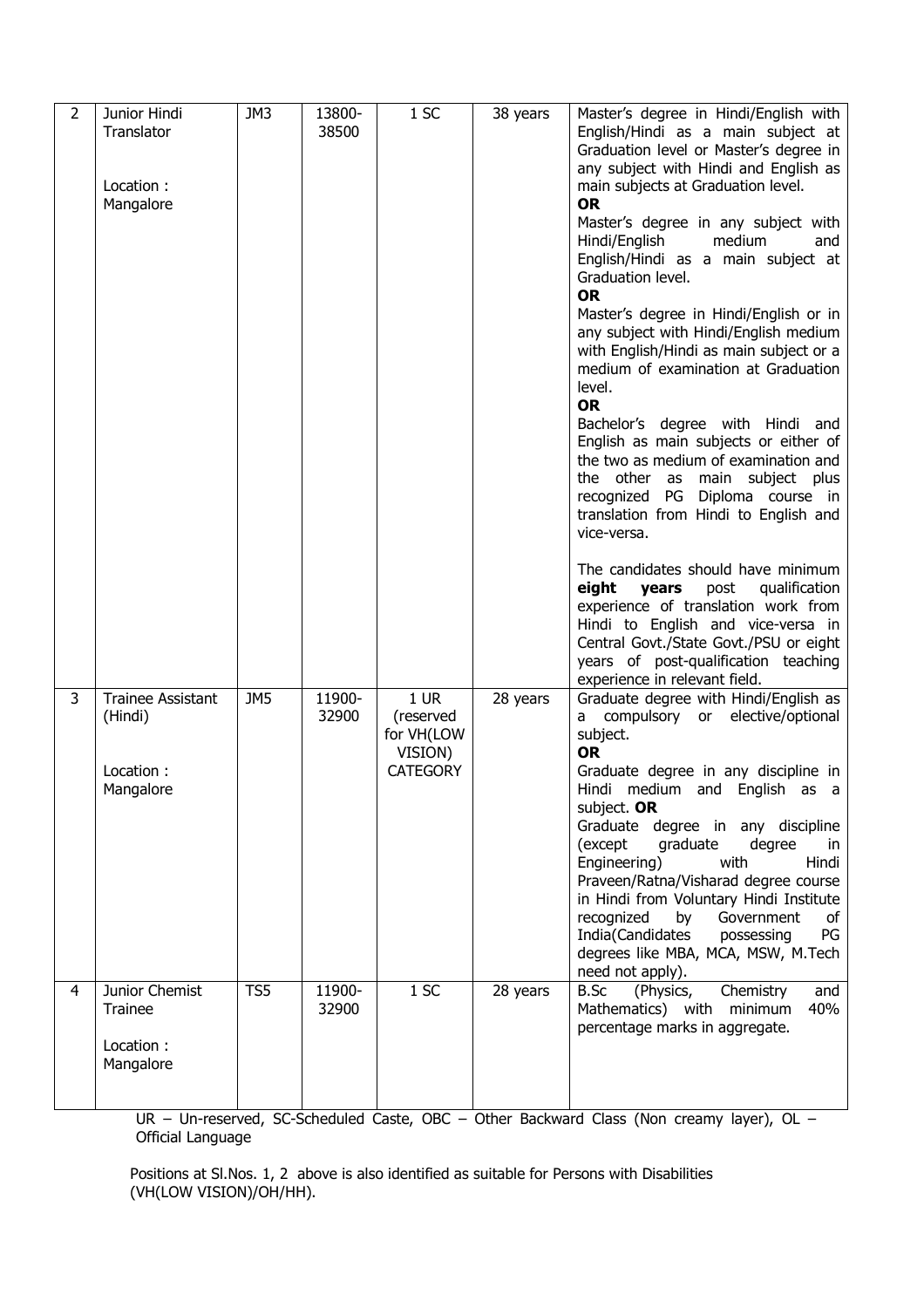| $\overline{2}$ | Junior Hindi<br>Translator<br>Location:<br>Mangalore          | JM3 | 13800-<br>38500 | 1 SC                                                                     | 38 years | Master's degree in Hindi/English with<br>English/Hindi as a main subject at<br>Graduation level or Master's degree in<br>any subject with Hindi and English as<br>main subjects at Graduation level.<br><b>OR</b><br>Master's degree in any subject with<br>medium<br>Hindi/English<br>and<br>English/Hindi as a main subject at<br>Graduation level.<br><b>OR</b><br>Master's degree in Hindi/English or in<br>any subject with Hindi/English medium<br>with English/Hindi as main subject or a<br>medium of examination at Graduation<br>level.<br><b>OR</b><br>Bachelor's degree with Hindi and<br>English as main subjects or either of<br>the two as medium of examination and<br>the other<br>main subject plus<br>as<br>recognized PG Diploma course in<br>translation from Hindi to English and<br>vice-versa.<br>The candidates should have minimum<br>eight<br>qualification<br>years<br>post<br>experience of translation work from<br>Hindi to English and vice-versa in<br>Central Govt./State Govt./PSU or eight<br>years of post-qualification teaching |
|----------------|---------------------------------------------------------------|-----|-----------------|--------------------------------------------------------------------------|----------|------------------------------------------------------------------------------------------------------------------------------------------------------------------------------------------------------------------------------------------------------------------------------------------------------------------------------------------------------------------------------------------------------------------------------------------------------------------------------------------------------------------------------------------------------------------------------------------------------------------------------------------------------------------------------------------------------------------------------------------------------------------------------------------------------------------------------------------------------------------------------------------------------------------------------------------------------------------------------------------------------------------------------------------------------------------------|
| 3              | <b>Trainee Assistant</b><br>(Hindi)<br>Location:<br>Mangalore | JM5 | 11900-<br>32900 | 1 <sup>UR</sup><br>(reserved<br>for VH(LOW<br>VISION)<br><b>CATEGORY</b> | 28 years | experience in relevant field.<br>Graduate degree with Hindi/English as<br>compulsory or elective/optional<br>a<br>subject.<br><b>OR</b><br>Graduate degree in any discipline in<br>Hindi medium and English as a<br>subject. OR<br>Graduate degree in any discipline<br>(except<br>graduate<br>degree<br>in<br>Engineering)<br>with<br>Hindi<br>Praveen/Ratna/Visharad degree course<br>in Hindi from Voluntary Hindi Institute<br>Government<br>recognized<br>by<br>of<br>India(Candidates<br>PG<br>possessing<br>degrees like MBA, MCA, MSW, M.Tech<br>need not apply).                                                                                                                                                                                                                                                                                                                                                                                                                                                                                              |
| 4              | Junior Chemist<br>Trainee<br>Location:<br>Mangalore           | TS5 | 11900-<br>32900 | 1 <sup>SC</sup>                                                          | 28 years | Chemistry<br><b>B.Sc</b><br>(Physics,<br>and<br>Mathematics) with<br>40%<br>minimum<br>percentage marks in aggregate.                                                                                                                                                                                                                                                                                                                                                                                                                                                                                                                                                                                                                                                                                                                                                                                                                                                                                                                                                  |

UR – Un-reserved, SC-Scheduled Caste, OBC – Other Backward Class (Non creamy layer), OL – Official Language

 Positions at Sl.Nos. 1, 2 above is also identified as suitable for Persons with Disabilities (VH(LOW VISION)/OH/HH).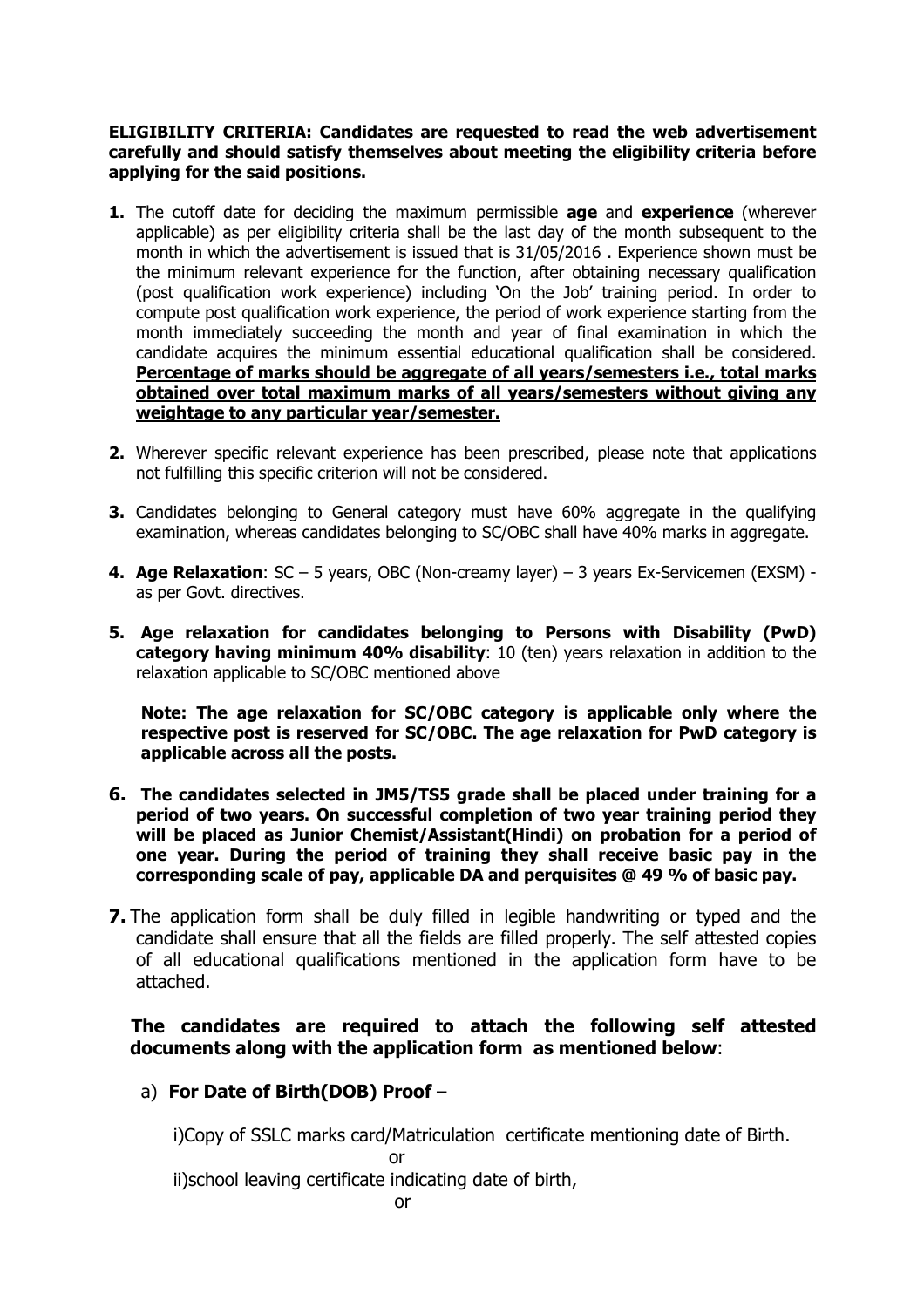## **ELIGIBILITY CRITERIA: Candidates are requested to read the web advertisement carefully and should satisfy themselves about meeting the eligibility criteria before applying for the said positions.**

- **1.** The cutoff date for deciding the maximum permissible **age** and **experience** (wherever applicable) as per eligibility criteria shall be the last day of the month subsequent to the month in which the advertisement is issued that is 31/05/2016 . Experience shown must be the minimum relevant experience for the function, after obtaining necessary qualification (post qualification work experience) including 'On the Job' training period. In order to compute post qualification work experience, the period of work experience starting from the month immediately succeeding the month and year of final examination in which the candidate acquires the minimum essential educational qualification shall be considered. **Percentage of marks should be aggregate of all years/semesters i.e., total marks obtained over total maximum marks of all years/semesters without giving any weightage to any particular year/semester.**
- **2.** Wherever specific relevant experience has been prescribed, please note that applications not fulfilling this specific criterion will not be considered.
- **3.** Candidates belonging to General category must have 60% aggregate in the qualifying examination, whereas candidates belonging to SC/OBC shall have 40% marks in aggregate.
- **4. Age Relaxation**: SC 5 years, OBC (Non-creamy layer) 3 years Ex-Servicemen (EXSM) as per Govt. directives.
- **5. Age relaxation for candidates belonging to Persons with Disability (PwD) category having minimum 40% disability**: 10 (ten) years relaxation in addition to the relaxation applicable to SC/OBC mentioned above

**Note: The age relaxation for SC/OBC category is applicable only where the respective post is reserved for SC/OBC. The age relaxation for PwD category is applicable across all the posts.** 

- **6. The candidates selected in JM5/TS5 grade shall be placed under training for a period of two years. On successful completion of two year training period they will be placed as Junior Chemist/Assistant(Hindi) on probation for a period of one year. During the period of training they shall receive basic pay in the corresponding scale of pay, applicable DA and perquisites @ 49 % of basic pay.**
- **7.** The application form shall be duly filled in legible handwriting or typed and the candidate shall ensure that all the fields are filled properly. The self attested copies of all educational qualifications mentioned in the application form have to be attached.

# **The candidates are required to attach the following self attested documents along with the application form as mentioned below**:

# a) **For Date of Birth(DOB) Proof** –

**or** *or* **or** 

i)Copy of SSLC marks card/Matriculation certificate mentioning date of Birth.

ii)school leaving certificate indicating date of birth,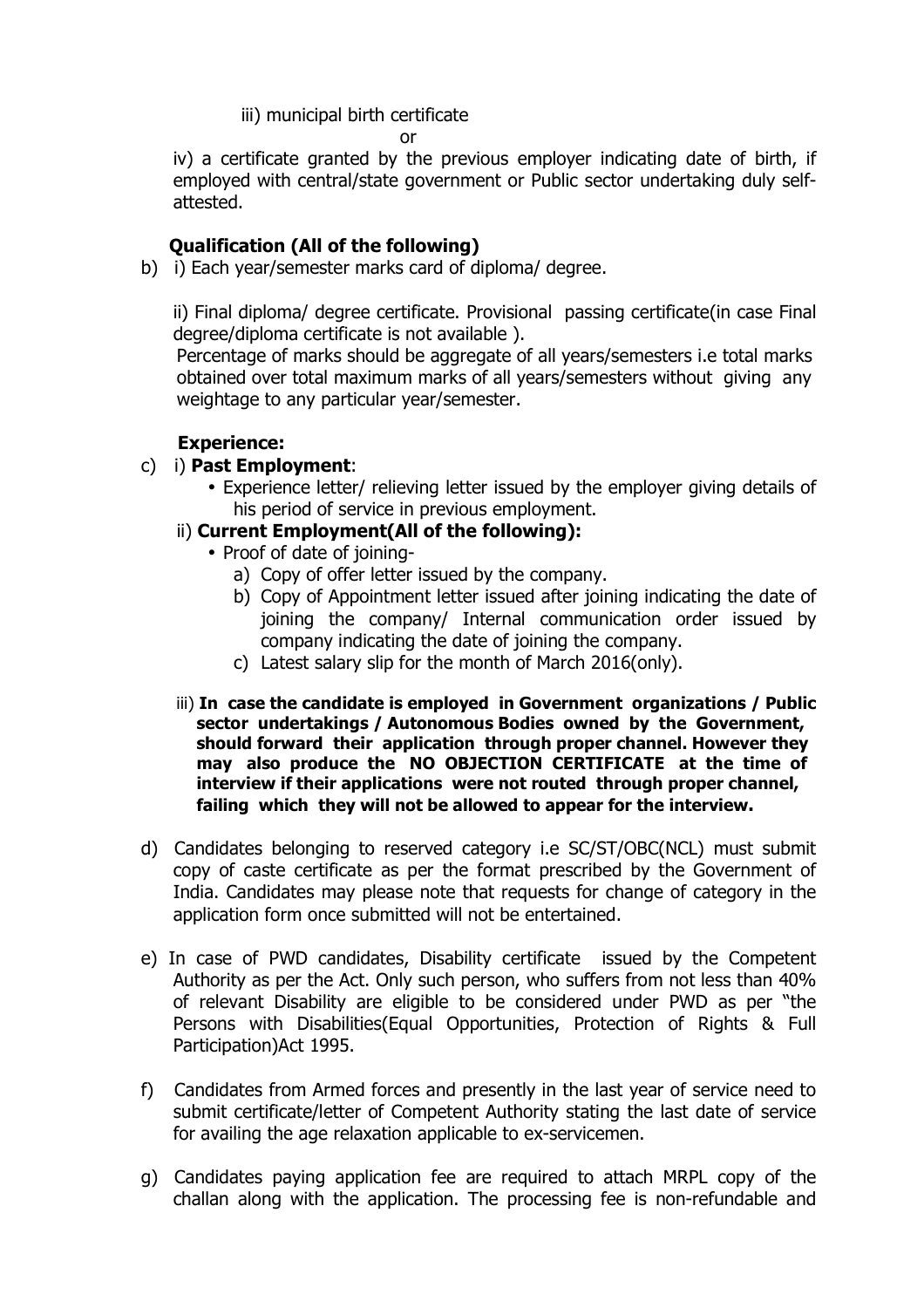# iii) municipal birth certificate

**or** and the state of the state of the state of the state of the state of the state of the state of the state of the state of the state of the state of the state of the state of the state of the state of the state of the s

iv) a certificate granted by the previous employer indicating date of birth, if employed with central/state government or Public sector undertaking duly selfattested.

# **Qualification (All of the following)**

b) i) Each year/semester marks card of diploma/ degree.

ii) Final diploma/ degree certificate. Provisional passing certificate(in case Final degree/diploma certificate is not available ).

 Percentage of marks should be aggregate of all years/semesters i.e total marks obtained over total maximum marks of all years/semesters without giving any weightage to any particular year/semester.

# **Experience:**

- c) i) **Past Employment**:
	- Experience letter/ relieving letter issued by the employer giving details of his period of service in previous employment.

# ii) **Current Employment(All of the following):**

- Proof of date of joining
	- a) Copy of offer letter issued by the company.
	- b) Copy of Appointment letter issued after joining indicating the date of joining the company/ Internal communication order issued by company indicating the date of joining the company.
	- c) Latest salary slip for the month of March 2016(only).
- iii) **In case the candidate is employed in Government organizations / Public sector undertakings / Autonomous Bodies owned by the Government, should forward their application through proper channel. However they may also produce the NO OBJECTION CERTIFICATE at the time of interview if their applications were not routed through proper channel, failing which they will not be allowed to appear for the interview.**
- d) Candidates belonging to reserved category i.e SC/ST/OBC(NCL) must submit copy of caste certificate as per the format prescribed by the Government of India. Candidates may please note that requests for change of category in the application form once submitted will not be entertained.
- e) In case of PWD candidates, Disability certificate issued by the Competent Authority as per the Act. Only such person, who suffers from not less than 40% of relevant Disability are eligible to be considered under PWD as per "the Persons with Disabilities(Equal Opportunities, Protection of Rights & Full Participation)Act 1995.
- f) Candidates from Armed forces and presently in the last year of service need to submit certificate/letter of Competent Authority stating the last date of service for availing the age relaxation applicable to ex-servicemen.
- g) Candidates paying application fee are required to attach MRPL copy of the challan along with the application. The processing fee is non-refundable and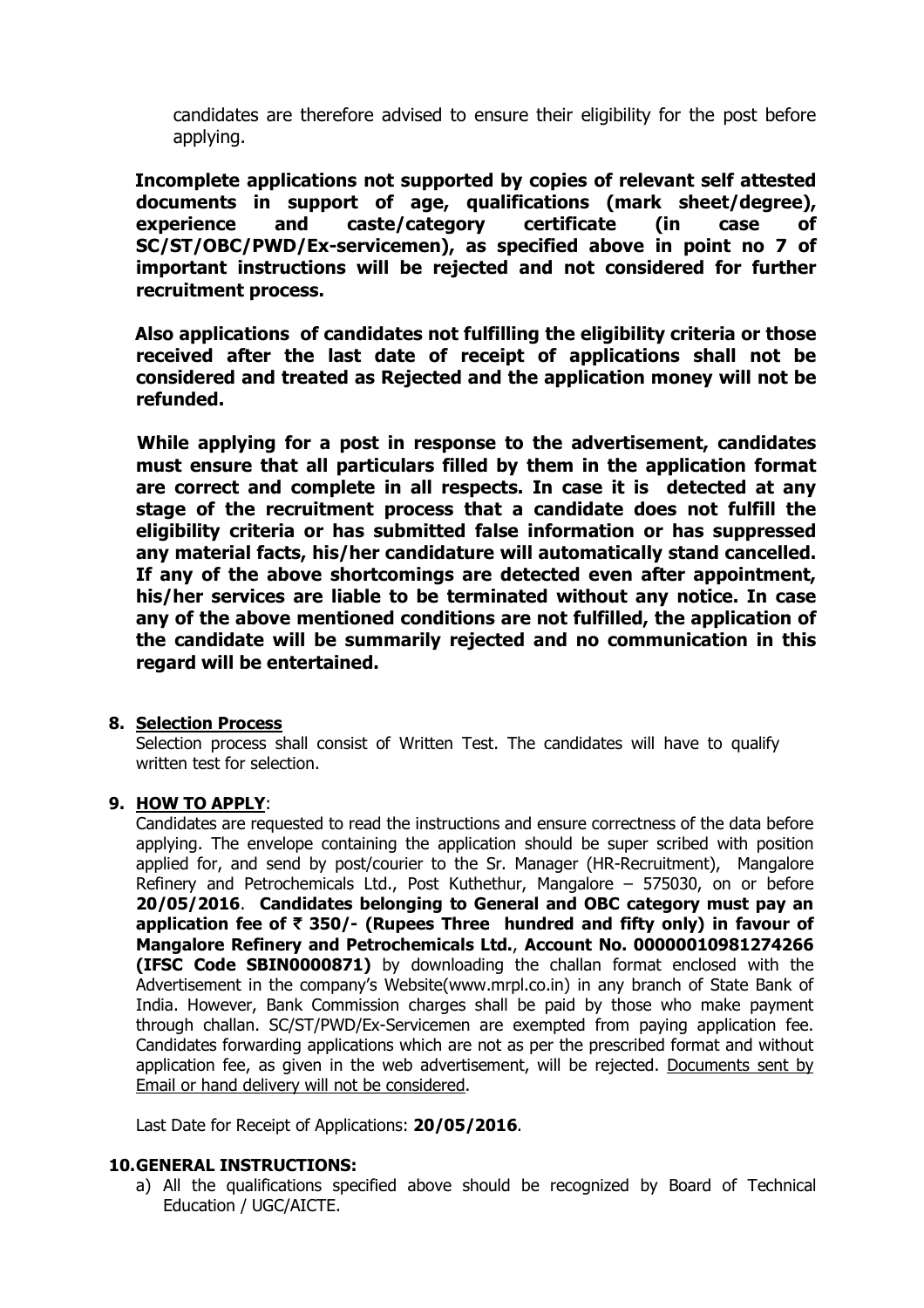candidates are therefore advised to ensure their eligibility for the post before applying.

 **Incomplete applications not supported by copies of relevant self attested documents in support of age, qualifications (mark sheet/degree), experience and caste/category certificate (in case of SC/ST/OBC/PWD/Ex-servicemen), as specified above in point no 7 of important instructions will be rejected and not considered for further recruitment process.**

 **Also applications of candidates not fulfilling the eligibility criteria or those received after the last date of receipt of applications shall not be considered and treated as Rejected and the application money will not be refunded.** 

 **While applying for a post in response to the advertisement, candidates must ensure that all particulars filled by them in the application format are correct and complete in all respects. In case it is detected at any stage of the recruitment process that a candidate does not fulfill the eligibility criteria or has submitted false information or has suppressed any material facts, his/her candidature will automatically stand cancelled. If any of the above shortcomings are detected even after appointment, his/her services are liable to be terminated without any notice. In case any of the above mentioned conditions are not fulfilled, the application of the candidate will be summarily rejected and no communication in this regard will be entertained.** 

### **8. Selection Process**

Selection process shall consist of Written Test. The candidates will have to qualify written test for selection.

### **9. HOW TO APPLY**:

Candidates are requested to read the instructions and ensure correctness of the data before applying. The envelope containing the application should be super scribed with position applied for, and send by post/courier to the Sr. Manager (HR-Recruitment), Mangalore Refinery and Petrochemicals Ltd., Post Kuthethur, Mangalore – 575030, on or before **20/05/2016**. **Candidates belonging to General and OBC category must pay an application fee of** ` **350/- (Rupees Three hundred and fifty only) in favour of Mangalore Refinery and Petrochemicals Ltd.**, **Account No. 00000010981274266 (IFSC Code SBIN0000871)** by downloading the challan format enclosed with the Advertisement in the company's Website(www.mrpl.co.in) in any branch of State Bank of India. However, Bank Commission charges shall be paid by those who make payment through challan. SC/ST/PWD/Ex-Servicemen are exempted from paying application fee. Candidates forwarding applications which are not as per the prescribed format and without application fee, as given in the web advertisement, will be rejected. Documents sent by Email or hand delivery will not be considered.

Last Date for Receipt of Applications: **20/05/2016**.

### **10.GENERAL INSTRUCTIONS:**

a) All the qualifications specified above should be recognized by Board of Technical Education / UGC/AICTE.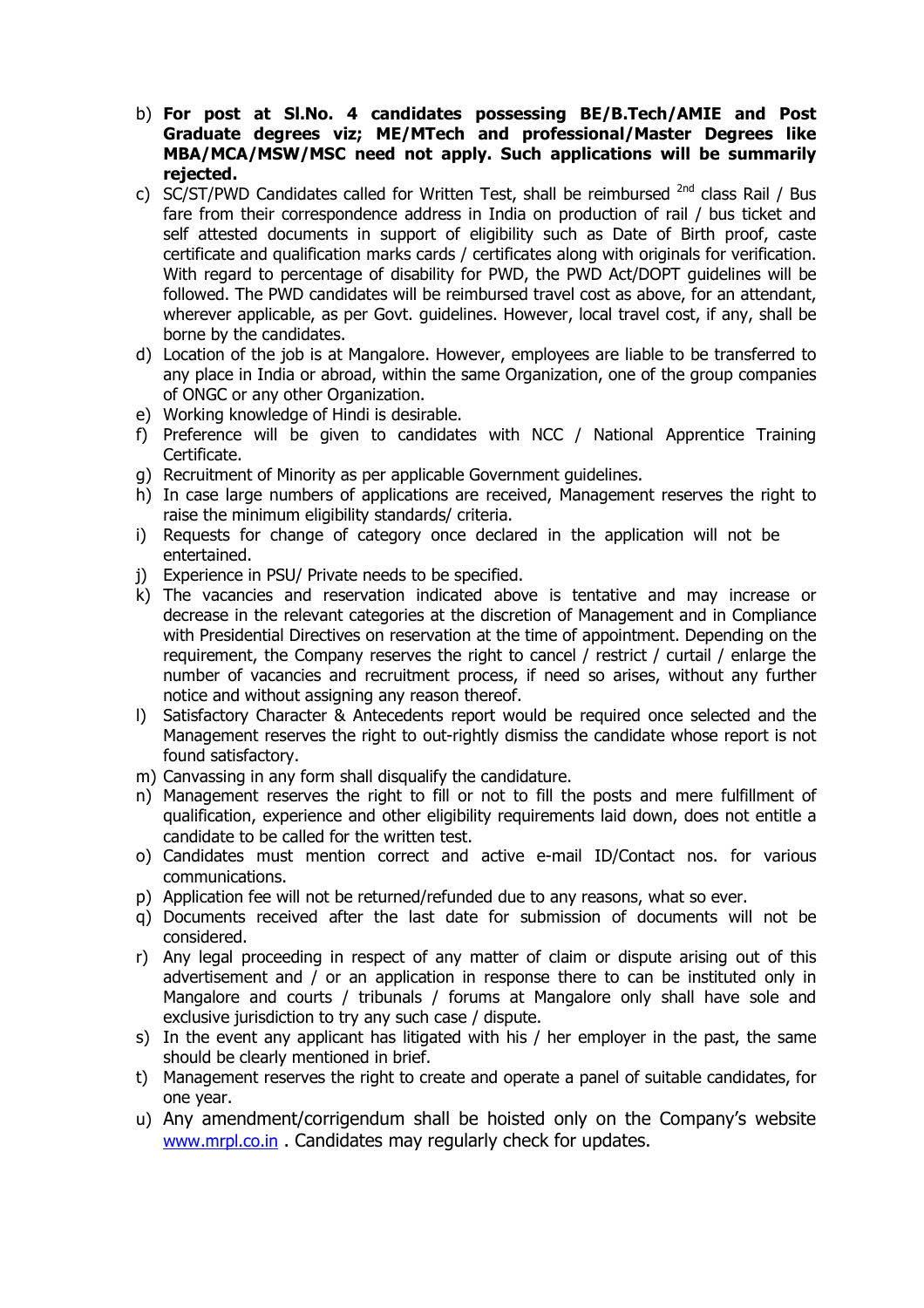- b) **For post at Sl.No. 4 candidates possessing BE/B.Tech/AMIE and Post Graduate degrees viz; ME/MTech and professional/Master Degrees like MBA/MCA/MSW/MSC need not apply. Such applications will be summarily rejected.**
- c) SC/ST/PWD Candidates called for Written Test, shall be reimbursed  $^{2nd}$  class Rail / Bus fare from their correspondence address in India on production of rail / bus ticket and self attested documents in support of eligibility such as Date of Birth proof, caste certificate and qualification marks cards / certificates along with originals for verification. With regard to percentage of disability for PWD, the PWD Act/DOPT guidelines will be followed. The PWD candidates will be reimbursed travel cost as above, for an attendant, wherever applicable, as per Govt. guidelines. However, local travel cost, if any, shall be borne by the candidates.
- d) Location of the job is at Mangalore. However, employees are liable to be transferred to any place in India or abroad, within the same Organization, one of the group companies of ONGC or any other Organization.
- e) Working knowledge of Hindi is desirable.
- f) Preference will be given to candidates with NCC / National Apprentice Training Certificate.
- g) Recruitment of Minority as per applicable Government guidelines.
- h) In case large numbers of applications are received, Management reserves the right to raise the minimum eligibility standards/ criteria.
- i) Requests for change of category once declared in the application will not be entertained.
- j) Experience in PSU/ Private needs to be specified.
- k) The vacancies and reservation indicated above is tentative and may increase or decrease in the relevant categories at the discretion of Management and in Compliance with Presidential Directives on reservation at the time of appointment. Depending on the requirement, the Company reserves the right to cancel / restrict / curtail / enlarge the number of vacancies and recruitment process, if need so arises, without any further notice and without assigning any reason thereof.
- l) Satisfactory Character & Antecedents report would be required once selected and the Management reserves the right to out-rightly dismiss the candidate whose report is not found satisfactory.
- m) Canvassing in any form shall disqualify the candidature.
- n) Management reserves the right to fill or not to fill the posts and mere fulfillment of qualification, experience and other eligibility requirements laid down, does not entitle a candidate to be called for the written test.
- o) Candidates must mention correct and active e-mail ID/Contact nos. for various communications.
- p) Application fee will not be returned/refunded due to any reasons, what so ever.
- q) Documents received after the last date for submission of documents will not be considered.
- r) Any legal proceeding in respect of any matter of claim or dispute arising out of this advertisement and / or an application in response there to can be instituted only in Mangalore and courts / tribunals / forums at Mangalore only shall have sole and exclusive jurisdiction to try any such case / dispute.
- s) In the event any applicant has litigated with his / her employer in the past, the same should be clearly mentioned in brief.
- t) Management reserves the right to create and operate a panel of suitable candidates, for one year.
- u) Any amendment/corrigendum shall be hoisted only on the Company's website www.mrpl.co.in . Candidates may regularly check for updates.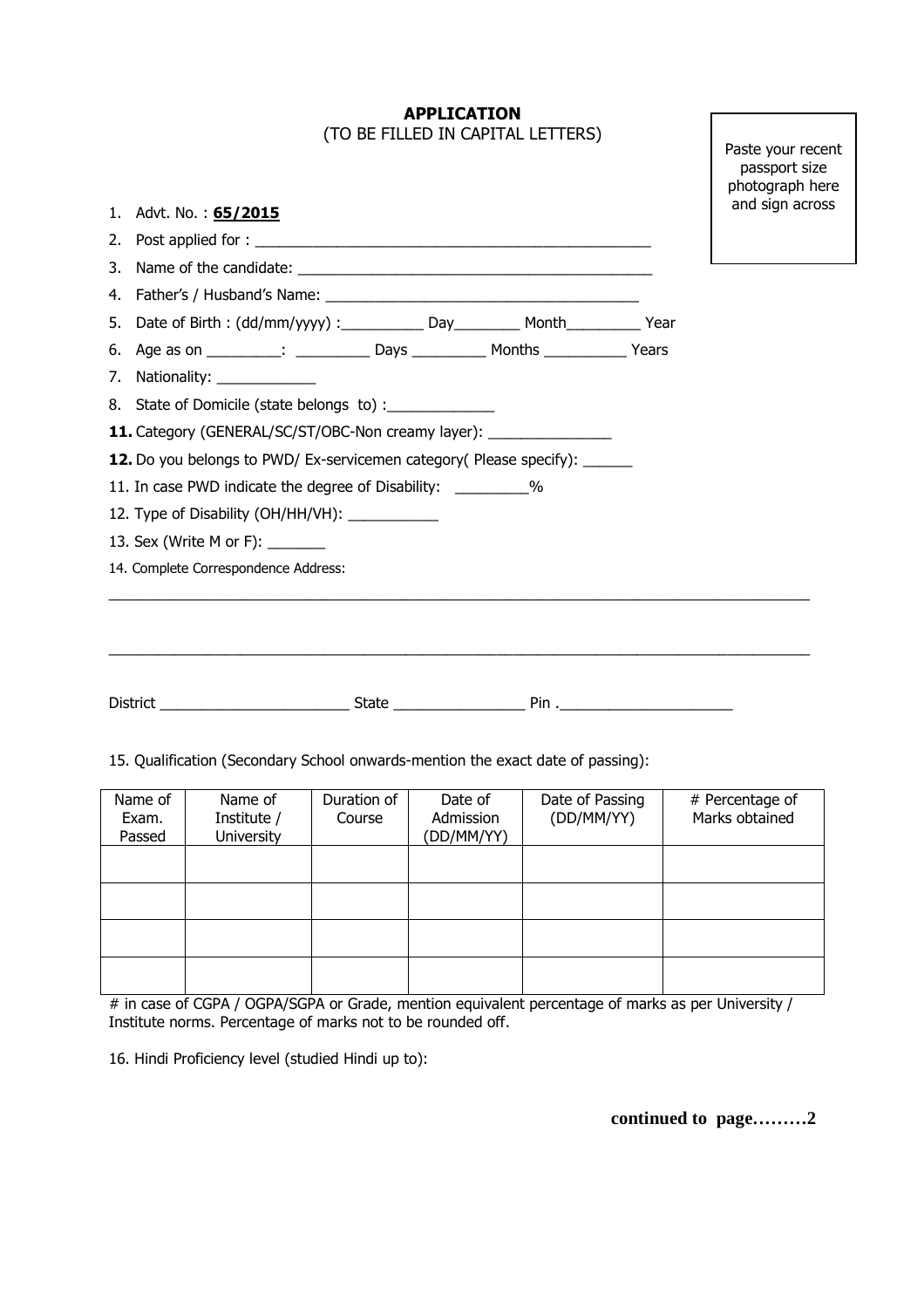### **APPLICATION**  (TO BE FILLED IN CAPITAL LETTERS)

|                                                                                          | passport size<br>photograph here |
|------------------------------------------------------------------------------------------|----------------------------------|
| 1. Advt. No.: 65/2015                                                                    | and sign across                  |
|                                                                                          |                                  |
|                                                                                          |                                  |
|                                                                                          |                                  |
| 5. Date of Birth: (dd/mm/yyyy) : ______________ Day ____________ Month ____________ Year |                                  |
|                                                                                          |                                  |
| 7. Nationality: _____________                                                            |                                  |
| 8. State of Domicile (state belongs to) :_____________                                   |                                  |
| 11. Category (GENERAL/SC/ST/OBC-Non creamy layer): _____________________________         |                                  |
| 12. Do you belongs to PWD/ Ex-servicemen category( Please specify): ______               |                                  |
| 11. In case PWD indicate the degree of Disability: __________%                           |                                  |
| 12. Type of Disability (OH/HH/VH): ___________                                           |                                  |
| 13. Sex (Write M or F): ______                                                           |                                  |
| 14. Complete Correspondence Address:                                                     |                                  |
|                                                                                          |                                  |
|                                                                                          |                                  |
|                                                                                          |                                  |

District \_\_\_\_\_\_\_\_\_\_\_\_\_\_\_\_\_\_\_\_\_\_\_ State \_\_\_\_\_\_\_\_\_\_\_\_\_\_\_\_ Pin .\_\_\_\_\_\_\_\_\_\_\_\_\_\_\_\_\_\_\_\_\_

15. Qualification (Secondary School onwards-mention the exact date of passing):

| Name of<br>Exam.<br>Passed | Name of<br>Institute /<br><b>University</b> | Duration of<br>Course | Date of<br>Admission<br>(DD/MM/YY) | Date of Passing<br>(DD/MM/YY) | # Percentage of<br>Marks obtained |
|----------------------------|---------------------------------------------|-----------------------|------------------------------------|-------------------------------|-----------------------------------|
|                            |                                             |                       |                                    |                               |                                   |
|                            |                                             |                       |                                    |                               |                                   |
|                            |                                             |                       |                                    |                               |                                   |
|                            |                                             |                       |                                    |                               |                                   |

# in case of CGPA / OGPA/SGPA or Grade, mention equivalent percentage of marks as per University / Institute norms. Percentage of marks not to be rounded off.

16. Hindi Proficiency level (studied Hindi up to):

**continued to page………2** 

Paste your recent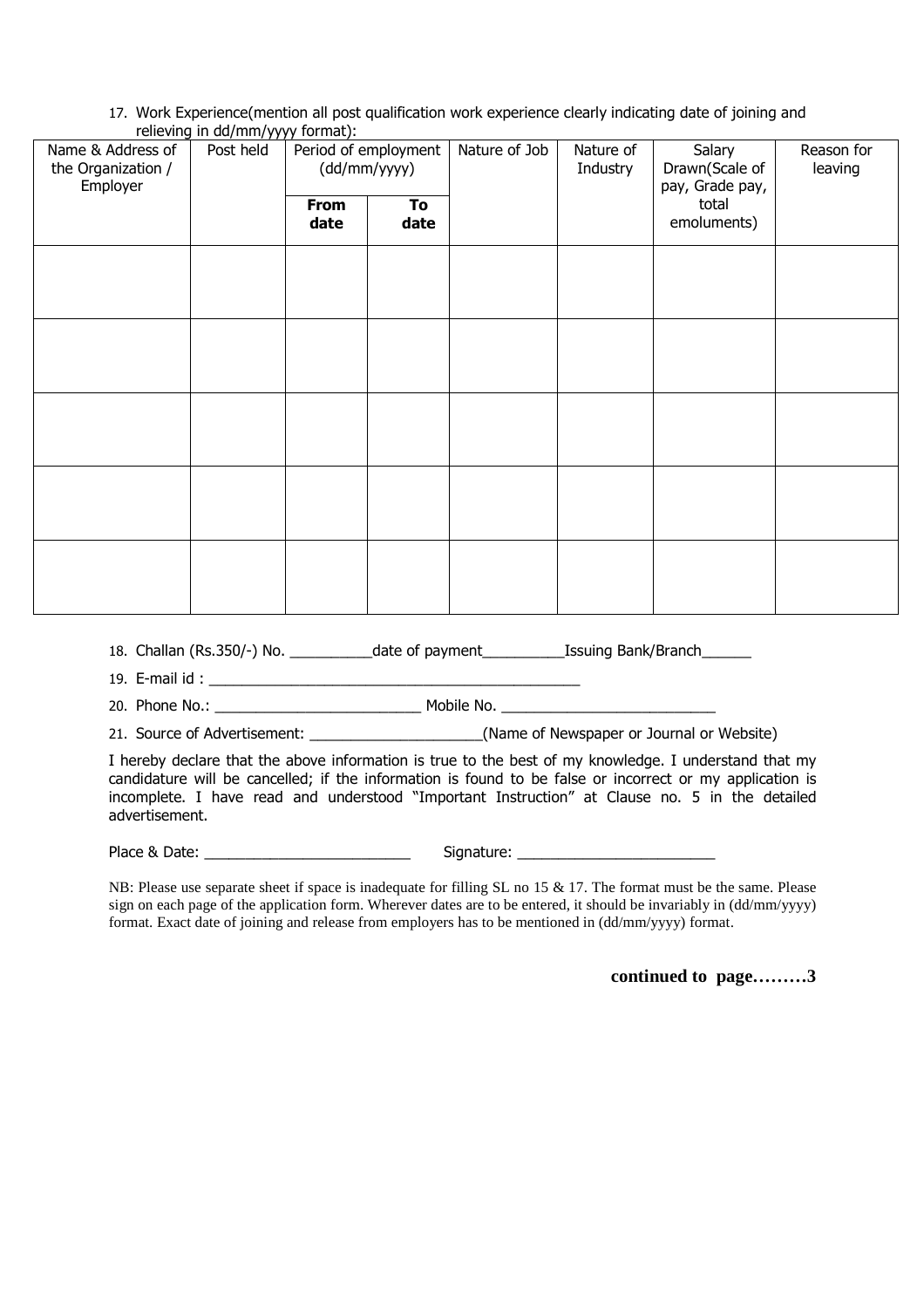#### 17. Work Experience(mention all post qualification work experience clearly indicating date of joining and relieving in dd/mm/yyyy format):

| Name & Address of<br>the Organization /<br>Employer | Post held |                     | Period of employment<br>(dd/mm/yyyy) | Nature of Job | Nature of<br>Industry | Salary<br>Drawn(Scale of<br>pay, Grade pay, | Reason for<br>leaving |
|-----------------------------------------------------|-----------|---------------------|--------------------------------------|---------------|-----------------------|---------------------------------------------|-----------------------|
|                                                     |           | <b>From</b><br>date | To<br>date                           |               |                       | total<br>emoluments)                        |                       |
|                                                     |           |                     |                                      |               |                       |                                             |                       |
|                                                     |           |                     |                                      |               |                       |                                             |                       |
|                                                     |           |                     |                                      |               |                       |                                             |                       |
|                                                     |           |                     |                                      |               |                       |                                             |                       |
|                                                     |           |                     |                                      |               |                       |                                             |                       |
|                                                     |           |                     |                                      |               |                       |                                             |                       |

18. Challan (Rs.350/-) No. \_\_\_\_\_\_\_\_\_\_date of payment\_\_\_\_\_\_\_\_\_\_Issuing Bank/Branch\_\_\_\_\_\_

19. E-mail id : \_\_\_\_\_\_\_\_\_\_\_\_\_\_\_\_\_\_\_\_\_\_\_\_\_\_\_\_\_\_\_\_\_\_\_\_\_\_\_\_\_\_\_\_\_

20. Phone No.: \_\_\_\_\_\_\_\_\_\_\_\_\_\_\_\_\_\_\_\_\_\_\_\_\_ Mobile No. \_\_\_\_\_\_\_\_\_\_\_\_\_\_\_\_\_\_\_\_\_\_\_\_\_\_

21. Source of Advertisement: \_\_\_\_\_\_\_\_\_\_\_\_\_\_\_\_\_\_\_\_\_(Name of Newspaper or Journal or Website)

I hereby declare that the above information is true to the best of my knowledge. I understand that my candidature will be cancelled; if the information is found to be false or incorrect or my application is incomplete. I have read and understood "Important Instruction" at Clause no. 5 in the detailed advertisement.

Place & Date: \_\_\_\_\_\_\_\_\_\_\_\_\_\_\_\_\_\_\_\_\_\_\_\_\_ Signature: \_\_\_\_\_\_\_\_\_\_\_\_\_\_\_\_\_\_\_\_\_\_\_\_

NB: Please use separate sheet if space is inadequate for filling SL no 15 & 17. The format must be the same. Please sign on each page of the application form. Wherever dates are to be entered, it should be invariably in (dd/mm/yyyy) format. Exact date of joining and release from employers has to be mentioned in (dd/mm/yyyy) format.

**continued to page………3**